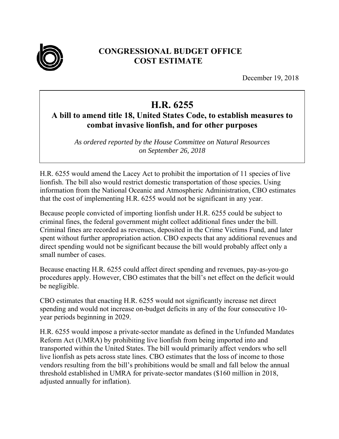

## **CONGRESSIONAL BUDGET OFFICE COST ESTIMATE**

December 19, 2018

## **H.R. 6255**

## **A bill to amend title 18, United States Code, to establish measures to combat invasive lionfish, and for other purposes**

*As ordered reported by the House Committee on Natural Resources on September 26, 2018* 

H.R. 6255 would amend the Lacey Act to prohibit the importation of 11 species of live lionfish. The bill also would restrict domestic transportation of those species. Using information from the National Oceanic and Atmospheric Administration, CBO estimates that the cost of implementing H.R. 6255 would not be significant in any year.

Because people convicted of importing lionfish under H.R. 6255 could be subject to criminal fines, the federal government might collect additional fines under the bill. Criminal fines are recorded as revenues, deposited in the Crime Victims Fund, and later spent without further appropriation action. CBO expects that any additional revenues and direct spending would not be significant because the bill would probably affect only a small number of cases.

Because enacting H.R. 6255 could affect direct spending and revenues, pay-as-you-go procedures apply. However, CBO estimates that the bill's net effect on the deficit would be negligible.

CBO estimates that enacting H.R. 6255 would not significantly increase net direct spending and would not increase on-budget deficits in any of the four consecutive 10 year periods beginning in 2029.

H.R. 6255 would impose a private-sector mandate as defined in the Unfunded Mandates Reform Act (UMRA) by prohibiting live lionfish from being imported into and transported within the United States. The bill would primarily affect vendors who sell live lionfish as pets across state lines. CBO estimates that the loss of income to those vendors resulting from the bill's prohibitions would be small and fall below the annual threshold established in UMRA for private-sector mandates (\$160 million in 2018, adjusted annually for inflation).